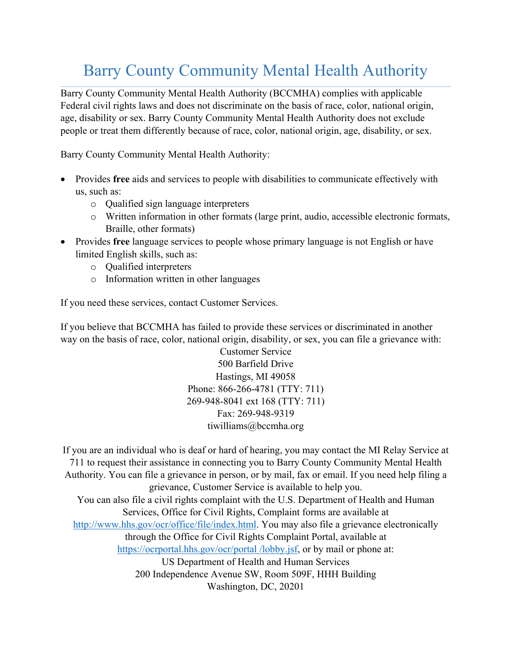## Barry County Community Mental Health Authority

Barry County Community Mental Health Authority (BCCMHA) complies with applicable Federal civil rights laws and does not discriminate on the basis of race, color, national origin, age, disability or sex. Barry County Community Mental Health Authority does not exclude people or treat them differently because of race, color, national origin, age, disability, or sex.

Barry County Community Mental Health Authority:

- Provides **free** aids and services to people with disabilities to communicate effectively with us, such as:
	- o Qualified sign language interpreters
	- o Written information in other formats (large print, audio, accessible electronic formats, Braille, other formats)
- Provides **free** language services to people whose primary language is not English or have limited English skills, such as:
	- o Qualified interpreters
	- o Information written in other languages

If you need these services, contact Customer Services.

If you believe that BCCMHA has failed to provide these services or discriminated in another way on the basis of race, color, national origin, disability, or sex, you can file a grievance with:

> Customer Service 500 Barfield Drive Hastings, MI 49058 Phone: 866-266-4781 (TTY: 711) 269-948-8041 ext 168 (TTY: 711) Fax: 269-948-9319 tiwilliams@bccmha.org

If you are an individual who is deaf or hard of hearing, you may contact the MI Relay Service at 711 to request their assistance in connecting you to Barry County Community Mental Health Authority. You can file a grievance in person, or by mail, fax or email. If you need help filing a grievance, Customer Service is available to help you. You can also file a civil rights complaint with the U.S. Department of Health and Human Services, Office for Civil Rights, Complaint forms are available at http://www.hhs.gov/ocr/office/file/index.html. You may also file a grievance electronically through the Office for Civil Rights Complaint Portal, available at https://ocrportal.hhs.gov/ocr/portal /lobby.jsf, or by mail or phone at: US Department of Health and Human Services 200 Independence Avenue SW, Room 509F, HHH Building Washington, DC, 20201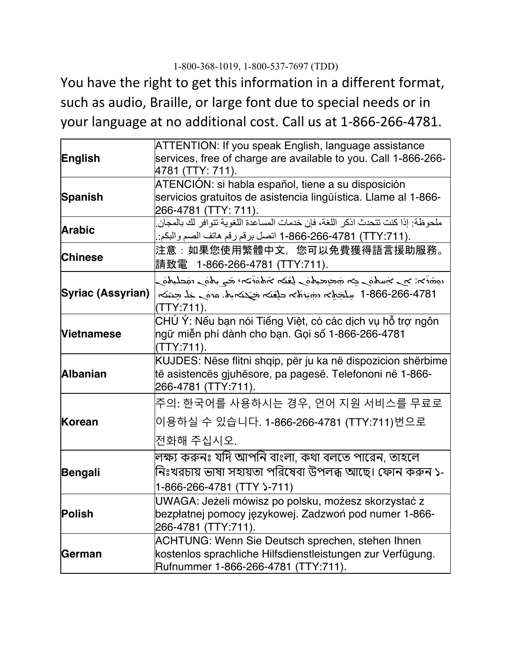## 1-800-368-1019, 1-800-537-7697 (TDD)

You have the right to get this information in a different format, such as audio, Braille, or large font due to special needs or in your language at no additional cost. Call us at 1-866-266-4781.

| English           | ATTENTION: If you speak English, language assistance                                                    |
|-------------------|---------------------------------------------------------------------------------------------------------|
|                   | services, free of charge are available to you. Call 1-866-266-                                          |
|                   | 4781 (TTY: 711).                                                                                        |
| <b>Spanish</b>    | ATENCIÓN: si habla español, tiene a su disposición                                                      |
|                   | servicios gratuitos de asistencia lingüística. Llame al 1-866-                                          |
|                   | 266-4781 (TTY: 711).<br>ملحو ظة: إذا كنت تتحدث اذكر اللغة، فإن خدمات المساعدة اللغوية تتوافر لك بالمجان |
| <b>Arabic</b>     | .(TTY:711) 1-866-266-4781 اتصل برقم رقم هاتف الصم والبكم:                                               |
|                   |                                                                                                         |
| <b>Chinese</b>    | 注意:如果您使用繁體中文,您可以免費獲得語言援助服務。                                                                             |
|                   | 請致電 1-866-266-4781 (TTY:711).                                                                           |
| Syriac (Assyrian) | رەكلىلىش رەكىي بىخ مىتى ئەن ئىقلار مەن بىرى بىرى ئىمكى بىرى ئىمزىق بىرى.                                |
|                   | 1-866-266-4781 سِلْجِمْہِ سَمِّبْهُہ حلقہ مَحكم بِه. منه جَد حِنته                                      |
|                   | (TTY:711).                                                                                              |
| <b>Vietnamese</b> | CHÚ Ý: Nếu bạn nói Tiếng Việt, có các dịch vụ hỗ trợ ngôn                                               |
|                   | ngữ miễn phí dành cho bạn. Gọi số 1-866-266-4781                                                        |
|                   | (TTY:711).                                                                                              |
| <b>Albanian</b>   | KUJDES: Nëse flitni shqip, për ju ka në dispozicion shërbime                                            |
|                   | të asistencës gjuhësore, pa pagesë. Telefononi në 1-866-                                                |
|                   |                                                                                                         |
|                   | 266-4781 (TTY:711).                                                                                     |
|                   | 주의: 한국어를 사용하시는 경우, 언어 지원 서비스를 무료로                                                                       |
| Korean            | 이용하실 수 있습니다. 1-866-266-4781 (TTY:711)번으로                                                                |
|                   | 전화해 주십시오.                                                                                               |
|                   |                                                                                                         |
|                   | লক্ষ্য করুনঃ যদি আপনি বাংলা, কথা বলতে পারেন, তাহলে                                                      |
| <b>Bengali</b>    | নিঃখরচায় ভাষা সহায়তা পরিষেবা উপলব্ধ আছে। ফোন করুন ১-                                                  |
|                   | 1-866-266-4781 (TTY >-711)                                                                              |
| <b>Polish</b>     | UWAGA: Jeżeli mówisz po polsku, możesz skorzystać z                                                     |
|                   | bezpłatnej pomocy językowej. Zadzwoń pod numer 1-866-<br>266-4781 (TTY:711).                            |
|                   | <b>ACHTUNG: Wenn Sie Deutsch sprechen, stehen Ihnen</b>                                                 |
| German            | kostenlos sprachliche Hilfsdienstleistungen zur Verfügung.                                              |